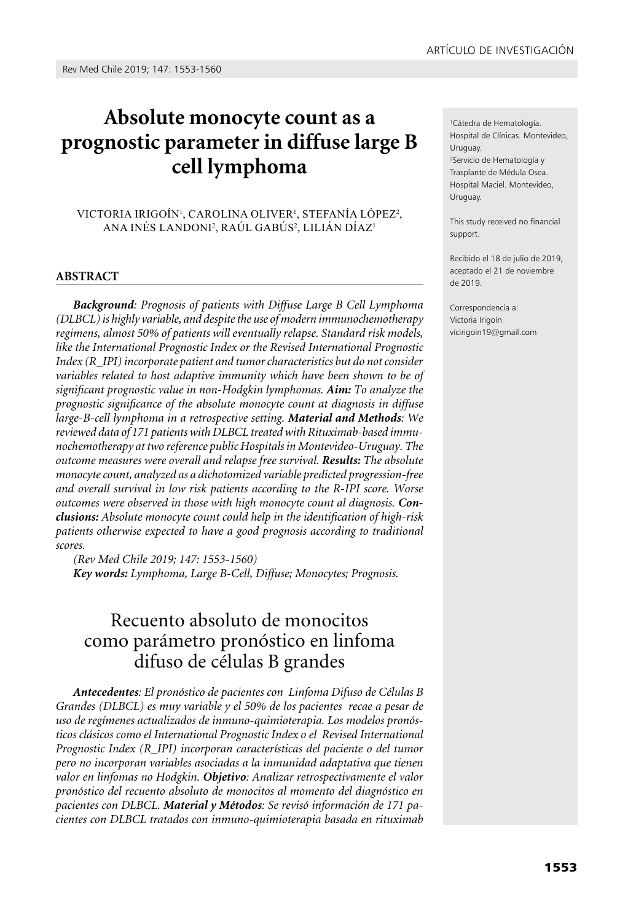# **Absolute monocyte count as a prognostic parameter in diffuse large B cell lymphoma**

#### VICTORIA IRIGOIN<sup>1</sup>, CAROLINA OLIVER<sup>1</sup>, STEFANIA LOPEZ<sup>2</sup>, Ana Inés Landoni2 , Raúl Gabús2 , Lilián Díaz1

#### **ABSTRACT**

*Background: Prognosis of patients with Diffuse Large B Cell Lymphoma (DLBCL) is highly variable, and despite the use of modern immunochemotherapy regimens, almost 50% of patients will eventually relapse. Standard risk models, like the International Prognostic Index or the Revised International Prognostic Index (R\_IPI) incorporate patient and tumor characteristics but do not consider variables related to host adaptive immunity which have been shown to be of significant prognostic value in non-Hodgkin lymphomas. Aim: To analyze the prognostic significance of the absolute monocyte count at diagnosis in diffuse large-B-cell lymphoma in a retrospective setting. Material and Methods: We reviewed data of 171 patients with DLBCL treated with Rituximab-based immunochemotherapy at two reference public Hospitals in Montevideo-Uruguay. The outcome measures were overall and relapse free survival. Results: The absolute monocyte count, analyzed as a dichotomized variable predicted progression-free and overall survival in low risk patients according to the R-IPI score. Worse outcomes were observed in those with high monocyte count al diagnosis. Conclusions: Absolute monocyte count could help in the identification of high-risk patients otherwise expected to have a good prognosis according to traditional scores.*

*(Rev Med Chile 2019; 147: 1553-1560) Key words: Lymphoma, Large B-Cell, Diffuse; Monocytes; Prognosis.*

# Recuento absoluto de monocitos como parámetro pronóstico en linfoma difuso de células B grandes

*Antecedentes: El pronóstico de pacientes con Linfoma Difuso de Células B Grandes (DLBCL) es muy variable y el 50% de los pacientes recae a pesar de uso de regímenes actualizados de inmuno-quimioterapia. Los modelos pronósticos clásicos como el International Prognostic Index o el Revised International Prognostic Index (R\_IPI) incorporan características del paciente o del tumor pero no incorporan variables asociadas a la inmunidad adaptativa que tienen valor en linfomas no Hodgkin. Objetivo: Analizar retrospectivamente el valor pronóstico del recuento absoluto de monocitos al momento del diagnóstico en pacientes con DLBCL. Material y Métodos: Se revisó información de 171 pacientes con DLBCL tratados con inmuno-quimioterapia basada en rituximab* 

1 Cátedra de Hematología. Hospital de Clínicas. Montevideo, Uruguay. 2 Servicio de Hematología y

Trasplante de Médula Osea. Hospital Maciel. Montevideo, Uruguay.

This study received no financial support.

Recibido el 18 de julio de 2019, aceptado el 21 de noviembre de 2019.

Correspondencia a: Victoria Irigoín [vicirigoin19@gmail.com](mailto:vicirigoin19@gmail.com)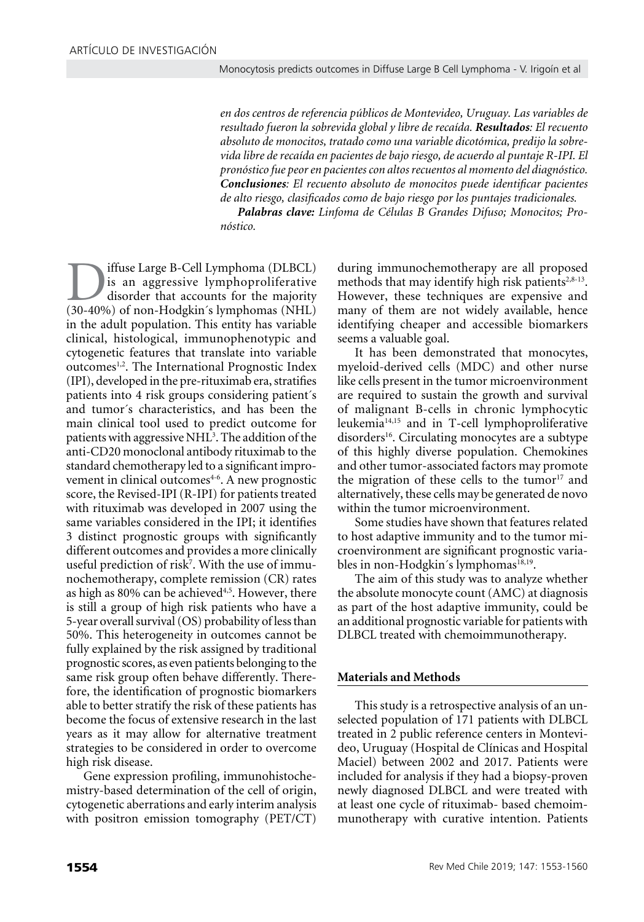*en dos centros de referencia públicos de Montevideo, Uruguay. Las variables de resultado fueron la sobrevida global y libre de recaída. Resultados: El recuento absoluto de monocitos, tratado como una variable dicotómica, predijo la sobrevida libre de recaída en pacientes de bajo riesgo, de acuerdo al puntaje R-IPI. El pronóstico fue peor en pacientes con altos recuentos al momento del diagnóstico. Conclusiones: El recuento absoluto de monocitos puede identificar pacientes de alto riesgo, clasificados como de bajo riesgo por los puntajes tradicionales.* 

*Palabras clave: Linfoma de Células B Grandes Difuso; Monocitos; Pronóstico.*

iffuse Large B-Cell Lymphoma (DLBCL) is an aggressive lymphoproliferative disorder that accounts for the majority (30-40%) of non-Hodgkin´s lymphomas (NHL) in the adult population. This entity has variable clinical, histological, immunophenotypic and cytogenetic features that translate into variable outcomes<sup>1,2</sup>. The International Prognostic Index (IPI), developed in the pre-rituximab era, stratifies patients into 4 risk groups considering patient´s and tumor´s characteristics, and has been the main clinical tool used to predict outcome for patients with aggressive NHL<sup>3</sup>. The addition of the anti-CD20 monoclonal antibody rituximab to the standard chemotherapy led to a significant improvement in clinical outcomes<sup>4-6</sup>. A new prognostic score, the Revised-IPI (R-IPI) for patients treated with rituximab was developed in 2007 using the same variables considered in the IPI; it identifies 3 distinct prognostic groups with significantly different outcomes and provides a more clinically useful prediction of risk<sup>7</sup>. With the use of immunochemotherapy, complete remission (CR) rates as high as  $80\%$  can be achieved<sup> $4,5$ </sup>. However, there is still a group of high risk patients who have a 5-year overall survival (OS) probability of less than 50%. This heterogeneity in outcomes cannot be fully explained by the risk assigned by traditional prognostic scores, as even patients belonging to the same risk group often behave differently. Therefore, the identification of prognostic biomarkers able to better stratify the risk of these patients has become the focus of extensive research in the last years as it may allow for alternative treatment strategies to be considered in order to overcome high risk disease.

Gene expression profiling, immunohistochemistry-based determination of the cell of origin, cytogenetic aberrations and early interim analysis with positron emission tomography (PET/CT) during immunochemotherapy are all proposed methods that may identify high risk patients $238-13$ . However, these techniques are expensive and many of them are not widely available, hence identifying cheaper and accessible biomarkers seems a valuable goal.

It has been demonstrated that monocytes, myeloid-derived cells (MDC) and other nurse like cells present in the tumor microenvironment are required to sustain the growth and survival of malignant B-cells in chronic lymphocytic leukemia14,15 and in T-cell lymphoproliferative disorders<sup>16</sup>. Circulating monocytes are a subtype of this highly diverse population. Chemokines and other tumor-associated factors may promote the migration of these cells to the tumor $17$  and alternatively, these cells may be generated de novo within the tumor microenvironment.

Some studies have shown that features related to host adaptive immunity and to the tumor microenvironment are significant prognostic variables in non-Hodgkin's lymphomas<sup>18,19</sup>.

The aim of this study was to analyze whether the absolute monocyte count (AMC) at diagnosis as part of the host adaptive immunity, could be an additional prognostic variable for patients with DLBCL treated with chemoimmunotherapy.

## **Materials and Methods**

This study is a retrospective analysis of an unselected population of 171 patients with DLBCL treated in 2 public reference centers in Montevideo, Uruguay (Hospital de Clínicas and Hospital Maciel) between 2002 and 2017. Patients were included for analysis if they had a biopsy-proven newly diagnosed DLBCL and were treated with at least one cycle of rituximab- based chemoimmunotherapy with curative intention. Patients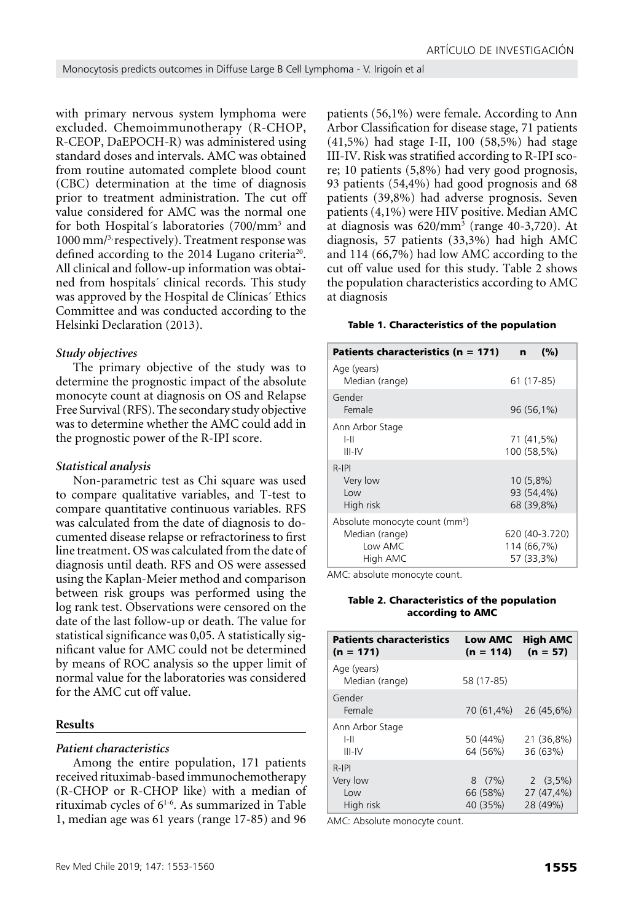with primary nervous system lymphoma were excluded. Chemoimmunotherapy (R-CHOP, R-CEOP, DaEPOCH-R) was administered using standard doses and intervals. AMC was obtained from routine automated complete blood count (CBC) determination at the time of diagnosis prior to treatment administration. The cut off value considered for AMC was the normal one for both Hospital´s laboratories (700/mm3 and 1000 mm/3, respectively). Treatment response was defined according to the 2014 Lugano criteria<sup>20</sup>. All clinical and follow-up information was obtained from hospitals´ clinical records. This study was approved by the Hospital de Clínicas´ Ethics Committee and was conducted according to the Helsinki Declaration (2013).

#### *Study objectives*

The primary objective of the study was to determine the prognostic impact of the absolute monocyte count at diagnosis on OS and Relapse Free Survival (RFS). The secondary study objective was to determine whether the AMC could add in the prognostic power of the R-IPI score.

#### *Statistical analysis*

Non-parametric test as Chi square was used to compare qualitative variables, and T-test to compare quantitative continuous variables. RFS was calculated from the date of diagnosis to documented disease relapse or refractoriness to first line treatment. OS was calculated from the date of diagnosis until death. RFS and OS were assessed using the Kaplan-Meier method and comparison between risk groups was performed using the log rank test. Observations were censored on the date of the last follow-up or death. The value for statistical significance was 0,05. A statistically significant value for AMC could not be determined by means of ROC analysis so the upper limit of normal value for the laboratories was considered for the AMC cut off value.

#### **Results**

#### *Patient characteristics*

Among the entire population, 171 patients received rituximab-based immunochemotherapy (R-CHOP or R-CHOP like) with a median of rituximab cycles of  $6^{1-6}$ . As summarized in Table 1, median age was 61 years (range 17-85) and 96

patients (56,1%) were female. According to Ann Arbor Classification for disease stage, 71 patients (41,5%) had stage I-II, 100 (58,5%) had stage III-IV. Risk was stratified according to R-IPI score; 10 patients (5,8%) had very good prognosis, 93 patients (54,4%) had good prognosis and 68 patients (39,8%) had adverse prognosis. Seven patients (4,1%) were HIV positive. Median AMC at diagnosis was 620/mm<sup>3</sup> (range 40-3,720). At diagnosis, 57 patients (33,3%) had high AMC and 114 (66,7%) had low AMC according to the cut off value used for this study. Table 2 shows the population characteristics according to AMC at diagnosis

#### Table 1. Characteristics of the population

| Patients characteristics ( $n = 171$ )                                              | (%)<br>n                                    |
|-------------------------------------------------------------------------------------|---------------------------------------------|
| Age (years)<br>Median (range)                                                       | 61 (17-85)                                  |
| Gender<br>Female                                                                    | 96 (56,1%)                                  |
| Ann Arbor Stage<br>I-II<br>III-IV                                                   | 71 (41,5%)<br>100 (58.5%)                   |
| $R-IPI$<br>Very low<br>Low<br>High risk                                             | 10 (5,8%)<br>93 (54,4%)<br>68 (39,8%)       |
| Absolute monocyte count (mm <sup>3</sup> )<br>Median (range)<br>Low AMC<br>High AMC | 620 (40-3.720)<br>114 (66,7%)<br>57 (33.3%) |

AMC: absolute monocyte count.

#### Table 2. Characteristics of the population according to AMC

| <b>Patients characteristics</b><br>$(n = 171)$ | <b>Low AMC</b><br>$(n = 114)$ | <b>High AMC</b><br>$(n = 57)$        |
|------------------------------------------------|-------------------------------|--------------------------------------|
| Age (years)<br>Median (range)                  | 58 (17-85)                    |                                      |
| Gender<br>Female                               | 70 (61,4%) 26 (45,6%)         |                                      |
| Ann Arbor Stage<br>$I-II$<br>$III$ -IV         | 50 (44%)<br>64 (56%)          | 21 (36,8%)<br>36 (63%)               |
| $R-IPI$<br>Very low<br>Low<br>High risk        | 8(7%)<br>66 (58%)<br>40 (35%) | $2(3,5\%)$<br>27 (47,4%)<br>28 (49%) |

AMC: Absolute monocyte count.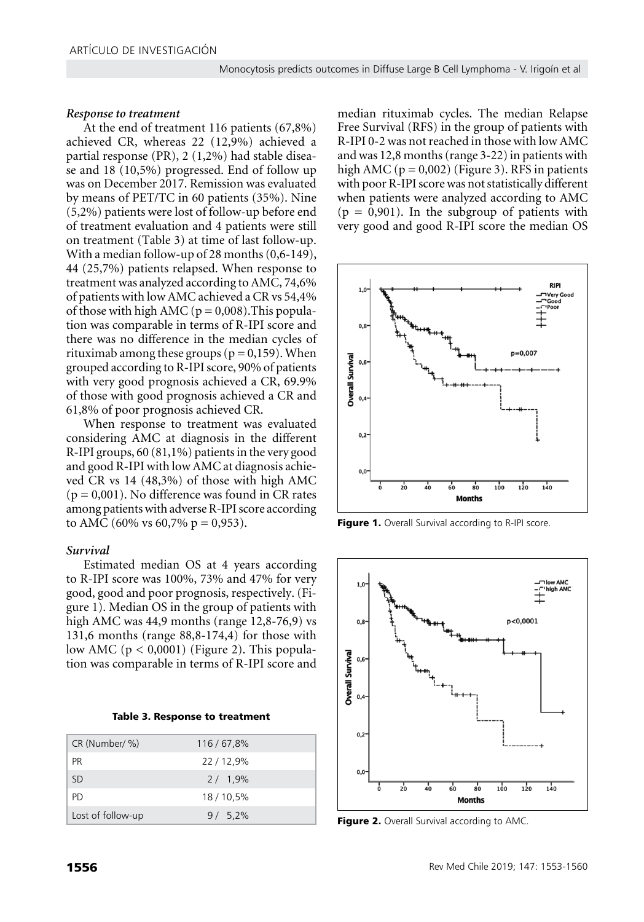#### *Response to treatment*

At the end of treatment 116 patients (67,8%) achieved CR, whereas 22 (12,9%) achieved a partial response (PR), 2 (1,2%) had stable disease and 18 (10,5%) progressed. End of follow up was on December 2017. Remission was evaluated by means of PET/TC in 60 patients (35%). Nine (5,2%) patients were lost of follow-up before end of treatment evaluation and 4 patients were still on treatment (Table 3) at time of last follow-up. With a median follow-up of 28 months (0,6-149), 44 (25,7%) patients relapsed. When response to treatment was analyzed according to AMC, 74,6% of patients with low AMC achieved a CR vs 54,4% of those with high AMC ( $p = 0.008$ ). This population was comparable in terms of R-IPI score and there was no difference in the median cycles of rituximab among these groups ( $p = 0,159$ ). When grouped according to R-IPI score, 90% of patients with very good prognosis achieved a CR, 69.9% of those with good prognosis achieved a CR and 61,8% of poor prognosis achieved CR.

When response to treatment was evaluated considering AMC at diagnosis in the different R-IPI groups, 60 (81,1%) patients in the very good and good R-IPI with low AMC at diagnosis achieved CR vs 14 (48,3%) of those with high AMC  $(p = 0.001)$ . No difference was found in CR rates among patients with adverse R-IPI score according to AMC (60% vs 60,7% p = 0,953).

## *Survival*

Estimated median OS at 4 years according to R-IPI score was 100%, 73% and 47% for very good, good and poor prognosis, respectively. (Figure 1). Median OS in the group of patients with high AMC was 44,9 months (range 12,8-76,9) vs 131,6 months (range 88,8-174,4) for those with low AMC  $(p < 0,0001)$  (Figure 2). This population was comparable in terms of R-IPI score and

| CR (Number/ %)    | 116/67,8% |
|-------------------|-----------|
| <b>PR</b>         | 22/12,9%  |
| <b>SD</b>         | 2/1,9%    |
| PD.               | 18/10,5%  |
| Lost of follow-up | $9/5.2\%$ |

median rituximab cycles. The median Relapse Free Survival (RFS) in the group of patients with R-IPI 0-2 was not reached in those with low AMC and was 12,8 months (range 3-22) in patients with high AMC ( $p = 0,002$ ) (Figure 3). RFS in patients with poor R-IPI score was not statistically different when patients were analyzed according to AMC  $(p = 0.901)$ . In the subgroup of patients with very good and good R-IPI score the median OS



Figure 1. Overall Survival according to R-IPI score.



Figure 2. Overall Survival according to AMC.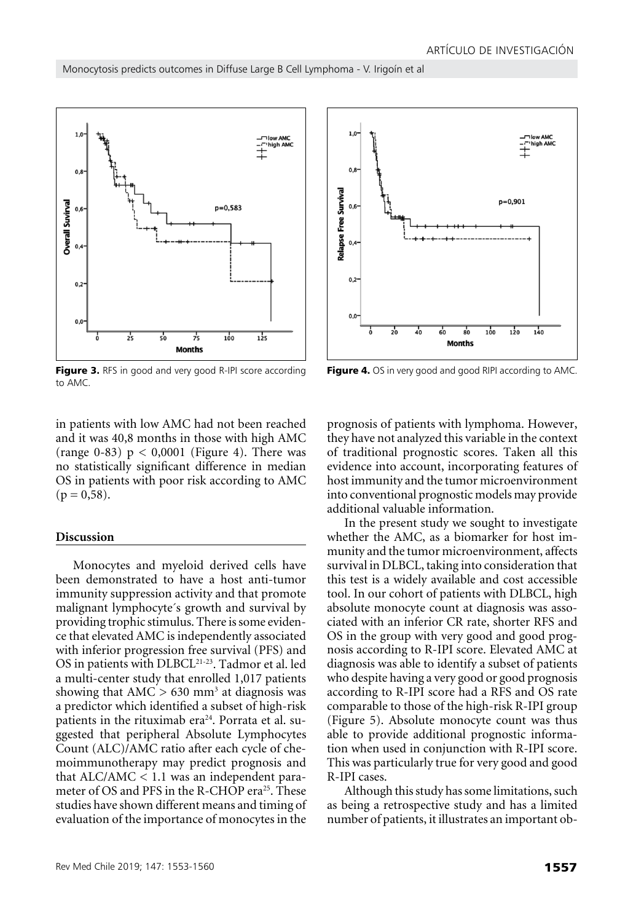

Figure 3. RFS in good and very good R-IPI score according to AMC.

in patients with low AMC had not been reached and it was 40,8 months in those with high AMC (range 0-83)  $p < 0,0001$  (Figure 4). There was no statistically significant difference in median OS in patients with poor risk according to AMC  $(p = 0.58)$ .

# **Discussion**

Monocytes and myeloid derived cells have been demonstrated to have a host anti-tumor immunity suppression activity and that promote malignant lymphocyte´s growth and survival by providing trophic stimulus. There is some evidence that elevated AMC is independently associated with inferior progression free survival (PFS) and OS in patients with DLBCL21-23. Tadmor et al. led a multi-center study that enrolled 1,017 patients showing that  $AMC > 630$  mm<sup>3</sup> at diagnosis was a predictor which identified a subset of high-risk patients in the rituximab era<sup>24</sup>. Porrata et al. suggested that peripheral Absolute Lymphocytes Count (ALC)/AMC ratio after each cycle of chemoimmunotherapy may predict prognosis and that  $ALC/AMC < 1.1$  was an independent parameter of OS and PFS in the R-CHOP era<sup>25</sup>. These studies have shown different means and timing of evaluation of the importance of monocytes in the



Figure 4. OS in very good and good RIPI according to AMC.

prognosis of patients with lymphoma. However, they have not analyzed this variable in the context of traditional prognostic scores. Taken all this evidence into account, incorporating features of host immunity and the tumor microenvironment into conventional prognostic models may provide additional valuable information.

In the present study we sought to investigate whether the AMC, as a biomarker for host immunity and the tumor microenvironment, affects survival in DLBCL, taking into consideration that this test is a widely available and cost accessible tool. In our cohort of patients with DLBCL, high absolute monocyte count at diagnosis was associated with an inferior CR rate, shorter RFS and OS in the group with very good and good prognosis according to R-IPI score. Elevated AMC at diagnosis was able to identify a subset of patients who despite having a very good or good prognosis according to R-IPI score had a RFS and OS rate comparable to those of the high-risk R-IPI group (Figure 5). Absolute monocyte count was thus able to provide additional prognostic information when used in conjunction with R-IPI score. This was particularly true for very good and good R-IPI cases.

Although this study has some limitations, such as being a retrospective study and has a limited number of patients, it illustrates an important ob-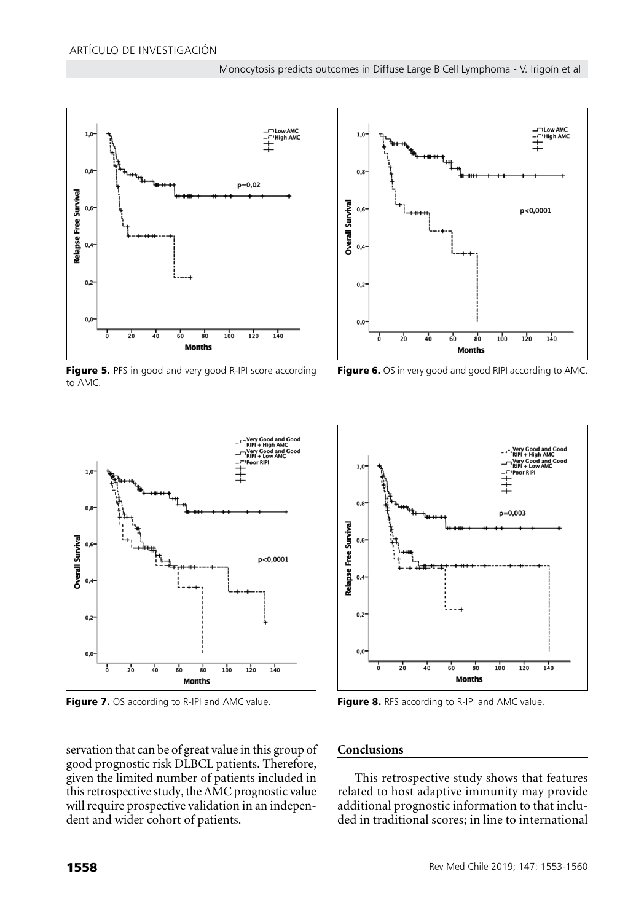

Figure 5. PFS in good and very good R-IPI score according to AMC.



Figure 7. OS according to R-IPI and AMC value. Figure 8. RFS according to R-IPI and AMC value.

servation that can be of great value in this group of good prognostic risk DLBCL patients. Therefore, given the limited number of patients included in this retrospective study, the AMC prognostic value will require prospective validation in an independent and wider cohort of patients.



Figure 6. OS in very good and good RIPI according to AMC.



# **Conclusions**

This retrospective study shows that features related to host adaptive immunity may provide additional prognostic information to that included in traditional scores; in line to international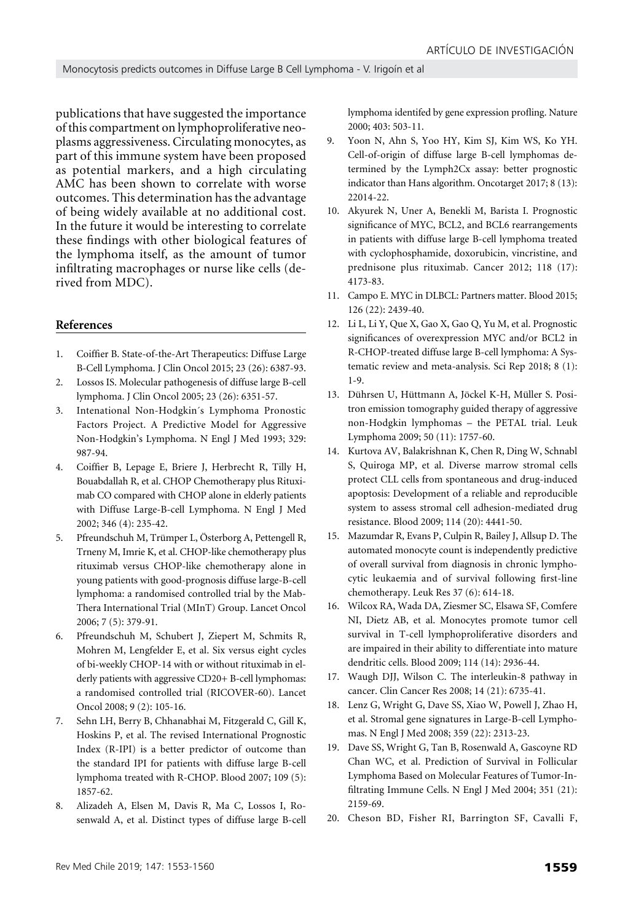publications that have suggested the importance of this compartment on lymphoproliferative neoplasms aggressiveness. Circulating monocytes, as part of this immune system have been proposed as potential markers, and a high circulating AMC has been shown to correlate with worse outcomes. This determination has the advantage of being widely available at no additional cost. In the future it would be interesting to correlate these findings with other biological features of the lymphoma itself, as the amount of tumor infiltrating macrophages or nurse like cells (derived from MDC).

#### **References**

- 1. Coiffier B. State-of-the-Art Therapeutics: Diffuse Large B-Cell Lymphoma. J Clin Oncol 2015; 23 (26): 6387-93.
- 2. Lossos IS. Molecular pathogenesis of diffuse large B-cell lymphoma. J Clin Oncol 2005; 23 (26): 6351-57.
- 3. Intenational Non-Hodgkin´s Lymphoma Pronostic Factors Project. A Predictive Model for Aggressive Non-Hodgkin's Lymphoma. N Engl J Med 1993; 329: 987-94.
- 4. Coiffier B, Lepage E, Briere J, Herbrecht R, Tilly H, Bouabdallah R, et al. CHOP Chemotherapy plus Rituximab CO compared with CHOP alone in elderly patients with Diffuse Large-B-cell Lymphoma. N Engl J Med 2002; 346 (4): 235-42.
- 5. Pfreundschuh M, Trümper L, Österborg A, Pettengell R, Trneny M, Imrie K, et al. CHOP-like chemotherapy plus rituximab versus CHOP-like chemotherapy alone in young patients with good-prognosis diffuse large-B-cell lymphoma: a randomised controlled trial by the Mab-Thera International Trial (MInT) Group. Lancet Oncol 2006; 7 (5): 379-91.
- 6. Pfreundschuh M, Schubert J, Ziepert M, Schmits R, Mohren M, Lengfelder E, et al. Six versus eight cycles of bi-weekly CHOP-14 with or without rituximab in elderly patients with aggressive CD20+ B-cell lymphomas: a randomised controlled trial (RICOVER-60). Lancet Oncol 2008; 9 (2): 105-16.
- 7. Sehn LH, Berry B, Chhanabhai M, Fitzgerald C, Gill K, Hoskins P, et al. The revised International Prognostic Index (R-IPI) is a better predictor of outcome than the standard IPI for patients with diffuse large B-cell lymphoma treated with R-CHOP. Blood 2007; 109 (5): 1857-62.
- 8. Alizadeh A, Elsen M, Davis R, Ma C, Lossos I, Rosenwald A, et al. Distinct types of diffuse large B-cell

lymphoma identifed by gene expression profling. Nature 2000; 403: 503-11.

- 9. Yoon N, Ahn S, Yoo HY, Kim SJ, Kim WS, Ko YH. Cell-of-origin of diffuse large B-cell lymphomas determined by the Lymph2Cx assay: better prognostic indicator than Hans algorithm. Oncotarget 2017; 8 (13): 22014-22.
- 10. Akyurek N, Uner A, Benekli M, Barista I. Prognostic significance of MYC, BCL2, and BCL6 rearrangements in patients with diffuse large B-cell lymphoma treated with cyclophosphamide, doxorubicin, vincristine, and prednisone plus rituximab. Cancer 2012; 118 (17): 4173-83.
- 11. Campo E. MYC in DLBCL: Partners matter. Blood 2015; 126 (22): 2439-40.
- 12. Li L, Li Y, Que X, Gao X, Gao Q, Yu M, et al. Prognostic significances of overexpression MYC and/or BCL2 in R-CHOP-treated diffuse large B-cell lymphoma: A Systematic review and meta-analysis. Sci Rep 2018; 8 (1): 1-9.
- 13. Dührsen U, Hüttmann A, Jöckel K-H, Müller S. Positron emission tomography guided therapy of aggressive non-Hodgkin lymphomas – the PETAL trial. Leuk Lymphoma 2009; 50 (11): 1757-60.
- 14. Kurtova AV, Balakrishnan K, Chen R, Ding W, Schnabl S, Quiroga MP, et al. Diverse marrow stromal cells protect CLL cells from spontaneous and drug-induced apoptosis: Development of a reliable and reproducible system to assess stromal cell adhesion-mediated drug resistance. Blood 2009; 114 (20): 4441-50.
- 15. Mazumdar R, Evans P, Culpin R, Bailey J, Allsup D. The automated monocyte count is independently predictive of overall survival from diagnosis in chronic lymphocytic leukaemia and of survival following first-line chemotherapy. Leuk Res 37 (6): 614-18.
- 16. Wilcox RA, Wada DA, Ziesmer SC, Elsawa SF, Comfere NI, Dietz AB, et al. Monocytes promote tumor cell survival in T-cell lymphoproliferative disorders and are impaired in their ability to differentiate into mature dendritic cells. Blood 2009; 114 (14): 2936-44.
- 17. Waugh DJJ, Wilson C. The interleukin-8 pathway in cancer. Clin Cancer Res 2008; 14 (21): 6735-41.
- 18. Lenz G, Wright G, Dave SS, Xiao W, Powell J, Zhao H, et al. Stromal gene signatures in Large-B-cell Lymphomas. N Engl J Med 2008; 359 (22): 2313-23.
- 19. Dave SS, Wright G, Tan B, Rosenwald A, Gascoyne RD Chan WC, et al. Prediction of Survival in Follicular Lymphoma Based on Molecular Features of Tumor-Infiltrating Immune Cells. N Engl J Med 2004; 351 (21): 2159-69.
- 20. Cheson BD, Fisher RI, Barrington SF, Cavalli F,